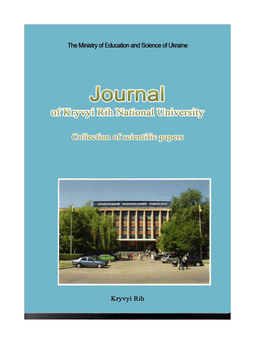The Ministry of Education and Science of Ukraine

# Journal of Kryvyi Rih National University

# Collection of scientific papers



Kryvyi Rih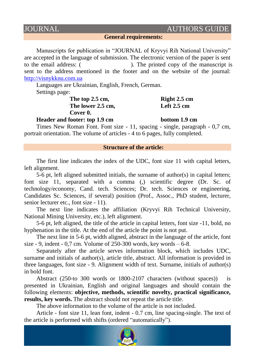## **JOURNAL AUTHORS GUIDE**

**General requirements:**

Manuscripts for publication in "JOURNAL of Kryvyi Rih National University" are accepted in the language of submission. The electronic version of the paper is sent to the email address: ( *naukaknu@ukr.net*). The printed copy of the manuscript is sent to the address mentioned in the footer and on the website of the journal: [http://visnykknu.com.ua](http://visnykknu.com.ua/)

Languages are Ukrainian, English, French, German.

Settings page:

The top 2.5 cm, Right 2.5 cm The lower 2.5 cm, Left 2.5 cm **Cover 0.**

**Header and footer: top 1.9 cm bottom 1.9 cm** 

Times New Roman Font. Font size - 11, spacing - single, paragraph - 0,7 cm, portrait orientation. The volume of articles - 4 to 6 pages, fully completed.

#### **Structure of the article:**

The first line indicates the index of the UDC, font size 11 with capital letters, left alignment.

5-6 pt, left aligned submitted initials, the surname of author(s) in capital letters; font size 11, separated with a comma (,) scientific degree (Dr. Sc. of technology/economy, Cand. tech. Sciences; Dr. tech. Sciences or engineering, Candidates Sc. Sciences, if several) position (Prof., Assoc., PhD student, lecturer, senior lecturer etc., font size - 11).

The next line indicates the affiliation (Kryvyi Rih Technical University, National Mining University, etc.), left alignment.

5-6 pt, left aligned, the title of the article in capital letters, font size -11, bold, no hyphenation in the title. At the end of the article the point is not put.

The next line in 5-6 pt, width aligned, abstract in the language of the article, font size  $-9$ , indent  $-0.7$  cm. Volume of 250-300 words, key words  $-6-8$ .

Separately after the article serves information block, which includes UDC, surname and initials of author(s), article title, abstract. All information is provided in three languages, font size - 9. Alignment width of text. Surname, initials of author(s) in bold font.

Abstract (250-to 300 words or 1800-2107 characters (without spaces)) is presented in Ukrainian, English and original languages and should contain the following elements: **objective, methods, scientific novelty, practical significance, results, key words.** The abstract should not repeat the article title.

The above information to the volume of the article is not included.

Article - font size 11, lean font, indent - 0.7 cm, line spacing-single. The text of the article is performed with shifts (ordered "automatically").

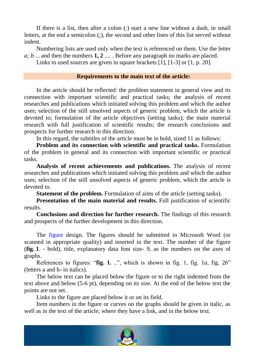If there is a list, then after a colon (:) start a new line without a dash, in small letters, at the end a semicolon (;), the second and other lines of this list served without indent.

Numbering lists are used only when the text is referenced on them. Use the letter *a; b* ... and then the numbers **1, 2** .... . Before any paragraph no marks are placed.

Links to used sources are given in square brackets [1], [1-3] or [1, p. 20].

### **Requirements to the main text of the article:**

In the article should be reflected: the problem statement in general view and its connection with important scientific and practical tasks; the analysis of recent researches and publications which initiated solving this problem and which the author uses; selection of the still unsolved aspects of generic problem, which the article is devoted to; formulation of the article objectives (setting tasks); the main material research with full justification of scientific results; the research conclusions and prospects for further research in this direction.

In this regard, the subtitles of the article must be in bold, sized 11 as follows:

**Problem and its connection with scientific and practical tasks.** Formulation of the problem in general and its connection with important scientific or practical tasks.

**Analysis of recent achievements and publications.** The analysis of recent researches and publications which initiated solving this problem and which the author uses; selection of the still unsolved aspects of generic problem, which the article is devoted to.

**Statement of the problem.** Formulation of aims of the article (setting tasks).

**Presentation of the main material and results.** Full justification of scientific results.

**Conclusions and direction for further research.** The findings of this research and prospects of the further development in this direction.

The figure design. The figures should be submitted in Microsoft Word (or scanned in appropriate quality) and inserted in the text. The number of the figure (**fig. 1**. - bold), title, explanatory data font size- 9, as the numbers on the axes of graphs.

References to figures: "fig. 1. ..", which is shown in fig. 1, fig. 1*a*, fig.  $2b$ " (letters a and b- in italics).

The below text can be placed below the figure or to the right indented from the text above and below (5-6 pt), depending on its size. At the end of the below text the points are not set.

Links to the figure are placed below it or on its field.

Item numbers in the figure or curves on the graphs should be given in italic, as well as in the text of the article, where they have a link, and in the below text.

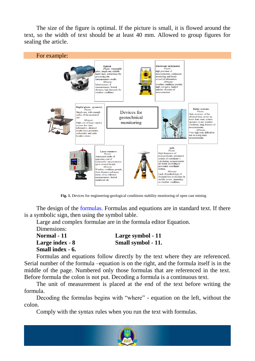The size of the figure is optimal. If the picture is small, it is flowed around the text, so the width of text should be at least 40 mm. Allowed to group figures for sealing the article.



Fig. 1. Devices for engineering-geological conditions stability monitoring of open cast mining

The design of the formulas. Formulas and equations are in standard text. If there is a symbolic sign, then using the symbol table.

Large and complex formulae are in the formula editor Equation. Dimensions:

**Normal - 11 Large symbol - 11 Large index - 8 Small symbol - 11. Small index - 6.**

Formulas and equations follow directly by the text where they are referenced. Serial number of the formula –equation is on the right, and the formula itself is in the middle of the page. Numbered only those formulas that are referenced in the text. Before formula the colon is not put. Decoding a formula is a continuous text.

The unit of measurement is placed at the end of the text before writing the formula.

Decoding the formulas begins with "where" - equation on the left, without the colon.

Comply with the syntax rules when you run the text with formulas.

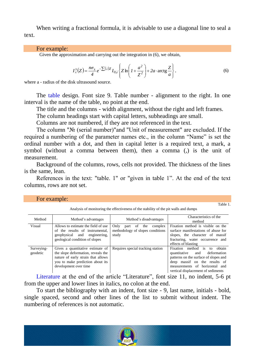When writing a fractional formula, it is advisable to use a diagonal line to seal a text.

#### For example:

Given the approximation and carrying out the integration in (6), we obtain,

$$
I_{\lambda}^{s}(Z) = \frac{n\sigma_{s}}{4}e^{-\sum(\lambda)Z}I_{0,\lambda}\left\{Z\ln\left(1+\frac{a^{2}}{Z^{2}}\right)+2a\cdot\arctg\frac{Z}{a}\right\},
$$
\n(6)

where a - radius of the disk ultrasound source.

The table design. Font size 9. Table number - alignment to the right. In one interval is the name of the table, no point at the end.

The title and the columns - width alignment, without the right and left frames.

The column headings start with capital letters, subheadings are small.

Columns are not numbered, if they are not referenced in the text.

The column "№ (serial number)"and "Unit of measurement" are excluded. If the required a numbering of the parameter names etc., in the column "Name" is set the ordinal number with a dot, and then in capital letter is a required text, a mark, a symbol (without a comma between them), then a comma (,) is the unit of measurement.

Background of the columns, rows, cells not provided. The thickness of the lines is the same, lean.

References in the text: "table. 1" or "given in table 1". At the end of the text columns, rows are not set.

| Method                 | Method's advantages                                                                                                                                                       | Method's disadvantages                                                            | Characteristics of the<br>method                                                                                                                                                                                           |
|------------------------|---------------------------------------------------------------------------------------------------------------------------------------------------------------------------|-----------------------------------------------------------------------------------|----------------------------------------------------------------------------------------------------------------------------------------------------------------------------------------------------------------------------|
| Visual                 | Allows to estimate the field of use<br>of the results of instrumental.<br>geophysical and engineering,<br>geological condition of slopes                                  | Only<br>the<br>complex<br>of<br>part<br>methodology of slopes conditions<br>study | Fixation method is visible on the<br>surface manifestations of abuse for<br>slopes, the character of massif<br>fracturing, water occurrence and<br>effects of blasting                                                     |
| Surveying-<br>geodetic | Gives a quantitative estimate of<br>the slope deformation, reveals the<br>nature of early strain that allows<br>you to make prediction about its<br>development over time | Requires special tracking station                                                 | Fixation method is<br>obtain<br>to<br>deformation<br>quantitative<br>and<br>patterns on the surface of slopes and<br>deep massif on the results of<br>measurements of horizontal and<br>vertical displacement of sediments |

#### For example:

Analysis of monitoring the effectiveness of the stability of the pit walls and dumps

Table 1.

Literature at the end of the article "Literature", font size 11, no indent, 5-6 pt from the upper and lower lines in italics, no colon at the end.

To start the bibliography with an indent, font size - 9, last name, initials - bold, single spaced, second and other lines of the list to submit without indent. The numbering of references is not automatic.